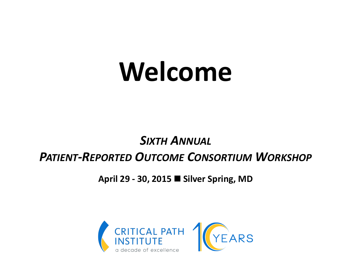# **Welcome**

#### *SIXTH ANNUAL PATIENT-REPORTED OUTCOME CONSORTIUM WORKSHOP*

**April 29 - 30, 2015 Silver Spring, MD**

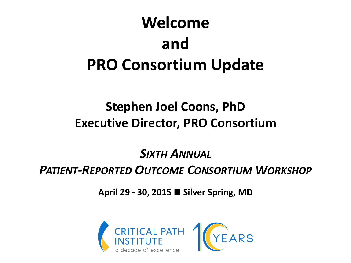# **Welcome and PRO Consortium Update**

#### **Stephen Joel Coons, PhD Executive Director, PRO Consortium**

#### *SIXTH ANNUAL PATIENT-REPORTED OUTCOME CONSORTIUM WORKSHOP*

**April 29 - 30, 2015 Silver Spring, MD**

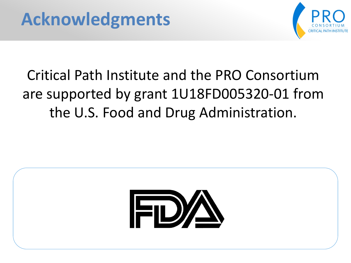

# Critical Path Institute and the PRO Consortium are supported by grant 1U18FD005320-01 from the U.S. Food and Drug Administration.

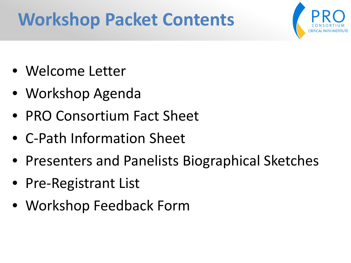# **Workshop Packet Contents**



- Welcome Letter
- Workshop Agenda
- PRO Consortium Fact Sheet
- C-Path Information Sheet
- Presenters and Panelists Biographical Sketches
- Pre-Registrant List
- Workshop Feedback Form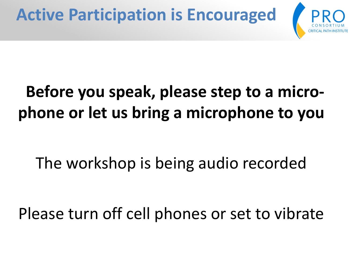# **Before you speak, please step to a microphone or let us bring a microphone to you**

The workshop is being audio recorded

Please turn off cell phones or set to vibrate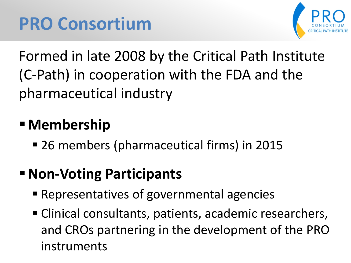

Formed in late 2008 by the Critical Path Institute (C-Path) in cooperation with the FDA and the pharmaceutical industry

## **Membership**

26 members (pharmaceutical firms) in 2015

### **Non-Voting Participants**

- Representatives of governmental agencies
- Clinical consultants, patients, academic researchers, and CROs partnering in the development of the PRO instruments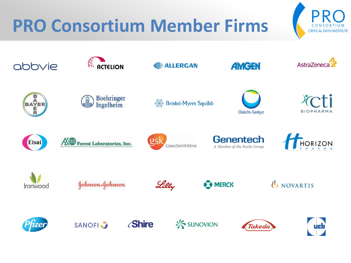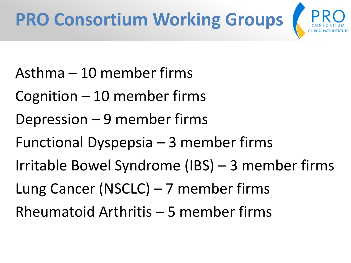

- Asthma 10 member firms
- Cognition 10 member firms
- Depression 9 member firms
- Functional Dyspepsia 3 member firms
- Irritable Bowel Syndrome (IBS) 3 member firms
- Lung Cancer (NSCLC) 7 member firms
- Rheumatoid Arthritis 5 member firms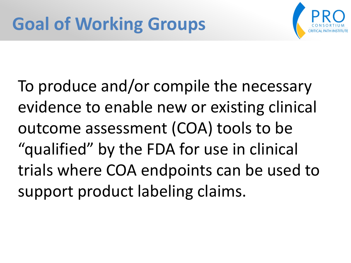

To produce and/or compile the necessary evidence to enable new or existing clinical outcome assessment (COA) tools to be "qualified" by the FDA for use in clinical trials where COA endpoints can be used to support product labeling claims.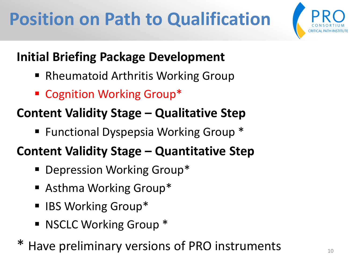# **Position on Path to Qualification**



### **Initial Briefing Package Development**

- Rheumatoid Arthritis Working Group
- Cognition Working Group<sup>\*</sup>

### **Content Validity Stage – Qualitative Step**

■ Functional Dyspepsia Working Group \*

#### **Content Validity Stage – Quantitative Step**

- **Depression Working Group\***
- Asthma Working Group\*
- IBS Working Group\*
- **NSCLC Working Group \***
- Have preliminary versions of PRO instruments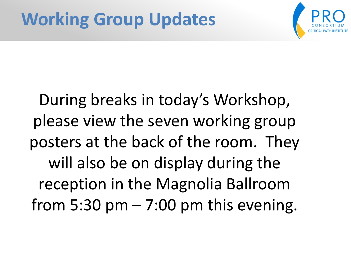

During breaks in today's Workshop, please view the seven working group posters at the back of the room. They will also be on display during the reception in the Magnolia Ballroom from  $5:30$  pm  $-7:00$  pm this evening.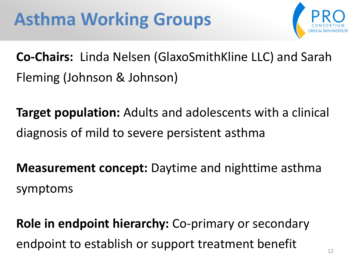

**Co-Chairs:** Linda Nelsen (GlaxoSmithKline LLC) and Sarah Fleming (Johnson & Johnson)

**Target population:** Adults and adolescents with a clinical diagnosis of mild to severe persistent asthma

**Measurement concept:** Daytime and nighttime asthma symptoms

**Role in endpoint hierarchy:** Co-primary or secondary endpoint to establish or support treatment benefit  $\frac{1}{12}$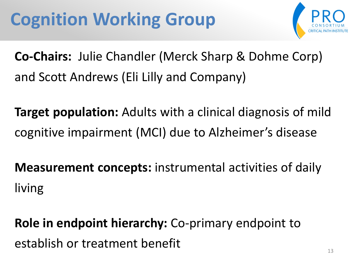

**Co-Chairs:** Julie Chandler (Merck Sharp & Dohme Corp) and Scott Andrews (Eli Lilly and Company)

**Target population:** Adults with a clinical diagnosis of mild cognitive impairment (MCI) due to Alzheimer's disease

**Measurement concepts:** instrumental activities of daily living

**Role in endpoint hierarchy:** Co-primary endpoint to establish or treatment benefit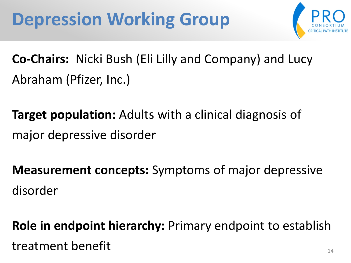# **Depression Working Group**



**Co-Chairs:** Nicki Bush (Eli Lilly and Company) and Lucy Abraham (Pfizer, Inc.)

**Target population:** Adults with a clinical diagnosis of major depressive disorder

**Measurement concepts:** Symptoms of major depressive disorder

**Role in endpoint hierarchy:** Primary endpoint to establish treatment benefit and the set of the set of the set of the set of the set of the set of the set of the set of the set of the set of the set of the set of the set of the set of the set of the set of the set of the set of th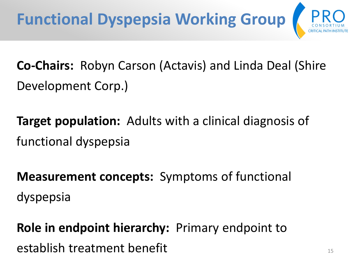

**Co-Chairs:** Robyn Carson (Actavis) and Linda Deal (Shire Development Corp.)

**Target population:** Adults with a clinical diagnosis of functional dyspepsia

**Measurement concepts:** Symptoms of functional dyspepsia

**Role in endpoint hierarchy:** Primary endpoint to establish treatment benefit 15 and 15 and 15 and 15 and 15 and 15 and 15 and 15 and 15 and 15 and 15 and 15 and 15 and 15 and 15 and 15 and 15 and 15 and 15 and 15 and 15 and 15 and 15 and 15 and 15 and 15 and 15 and 15 an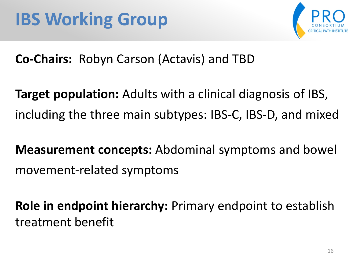



**Co-Chairs:** Robyn Carson (Actavis) and TBD

**Target population:** Adults with a clinical diagnosis of IBS, including the three main subtypes: IBS-C, IBS-D, and mixed

**Measurement concepts:** Abdominal symptoms and bowel movement-related symptoms

**Role in endpoint hierarchy:** Primary endpoint to establish treatment benefit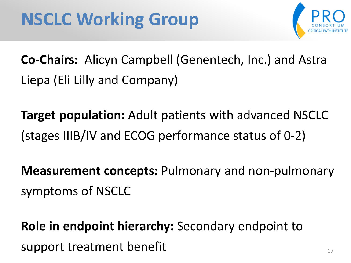

**Co-Chairs:** Alicyn Campbell (Genentech, Inc.) and Astra Liepa (Eli Lilly and Company)

**Target population:** Adult patients with advanced NSCLC (stages IIIB/IV and ECOG performance status of 0-2)

**Measurement concepts:** Pulmonary and non-pulmonary symptoms of NSCLC

**Role in endpoint hierarchy:** Secondary endpoint to support treatment benefit 17 and 17 and 17 and 17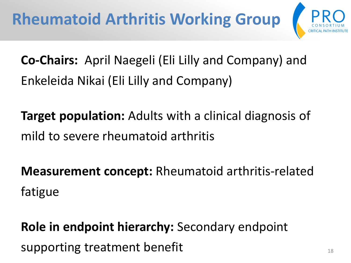

**Co-Chairs:** April Naegeli (Eli Lilly and Company) and Enkeleida Nikai (Eli Lilly and Company)

**Target population:** Adults with a clinical diagnosis of mild to severe rheumatoid arthritis

**Measurement concept:** Rheumatoid arthritis-related fatigue

**Role in endpoint hierarchy:** Secondary endpoint supporting treatment benefit 18 and 18 and 18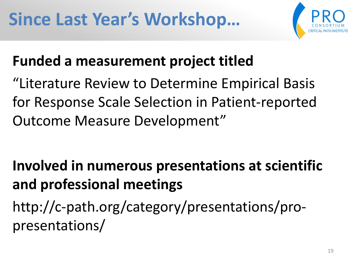

### **Funded a measurement project titled**

"Literature Review to Determine Empirical Basis for Response Scale Selection in Patient-reported Outcome Measure Development"

## **Involved in numerous presentations at scientific and professional meetings**

http://c-path.org/category/presentations/propresentations/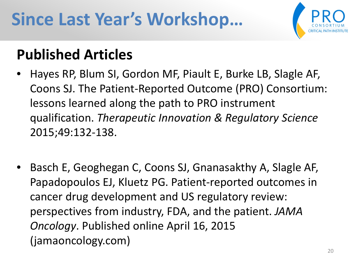# **Since Last Year's Workshop…**



### **Published Articles**

- Hayes RP, Blum SI, Gordon MF, Piault E, Burke LB, Slagle AF, Coons SJ. The Patient-Reported Outcome (PRO) Consortium: lessons learned along the path to PRO instrument qualification. *Therapeutic Innovation & Regulatory Science* 2015;49:132-138.
- Basch E, Geoghegan C, Coons SJ, Gnanasakthy A, Slagle AF, Papadopoulos EJ, Kluetz PG. Patient-reported outcomes in cancer drug development and US regulatory review: perspectives from industry, FDA, and the patient. *JAMA Oncology*. Published online April 16, 2015 (jamaoncology.com)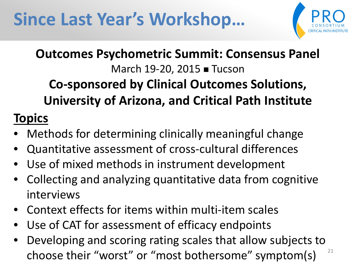

### **Outcomes Psychometric Summit: Consensus Panel** March 19-20, 2015 **■** Tucson

### **Co-sponsored by Clinical Outcomes Solutions, University of Arizona, and Critical Path Institute**

#### **Topics**

- Methods for determining clinically meaningful change
- Quantitative assessment of cross-cultural differences
- Use of mixed methods in instrument development
- Collecting and analyzing quantitative data from cognitive interviews
- Context effects for items within multi-item scales
- Use of CAT for assessment of efficacy endpoints
- Developing and scoring rating scales that allow subjects to choose their "worst" or "most bothersome" symptom(s)  $21$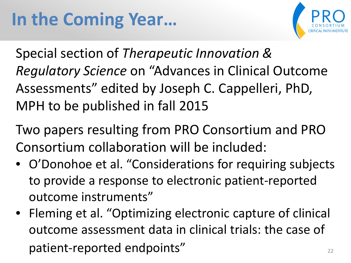

Special section of *Therapeutic Innovation & Regulatory Science* on "Advances in Clinical Outcome Assessments" edited by Joseph C. Cappelleri, PhD, MPH to be published in fall 2015

Two papers resulting from PRO Consortium and PRO Consortium collaboration will be included:

- O'Donohoe et al. "Considerations for requiring subjects to provide a response to electronic patient-reported outcome instruments"
- Fleming et al. "Optimizing electronic capture of clinical outcome assessment data in clinical trials: the case of patient-reported endpoints" and the case of the case of the case of the case of the case of the case of the case of the case of the case of the case of the case of the case of the case of the case of the case of the case o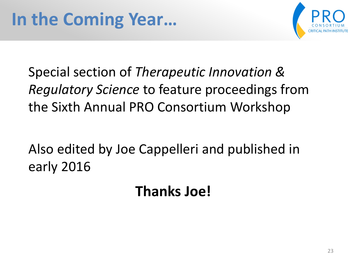

Special section of *Therapeutic Innovation & Regulatory Science* to feature proceedings from the Sixth Annual PRO Consortium Workshop

Also edited by Joe Cappelleri and published in early 2016

**Thanks Joe!**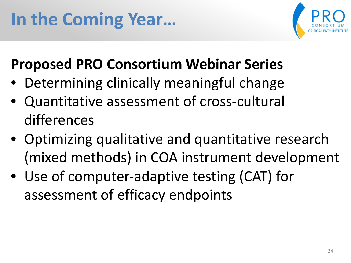

### **Proposed PRO Consortium Webinar Series**

- Determining clinically meaningful change
- Quantitative assessment of cross-cultural differences
- Optimizing qualitative and quantitative research (mixed methods) in COA instrument development
- Use of computer-adaptive testing (CAT) for assessment of efficacy endpoints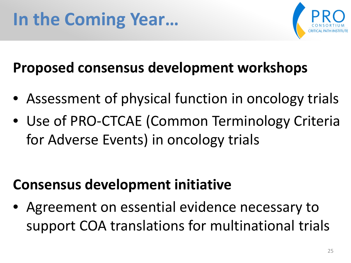

## **Proposed consensus development workshops**

- Assessment of physical function in oncology trials
- Use of PRO-CTCAE (Common Terminology Criteria for Adverse Events) in oncology trials

### **Consensus development initiative**

• Agreement on essential evidence necessary to support COA translations for multinational trials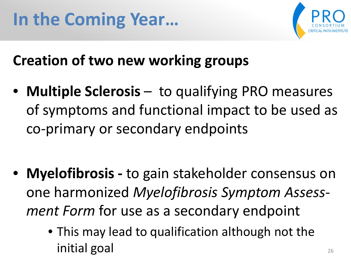

### **Creation of two new working groups**

• **Multiple Sclerosis** – to qualifying PRO measures of symptoms and functional impact to be used as co-primary or secondary endpoints

- **Myelofibrosis -** to gain stakeholder consensus on one harmonized *Myelofibrosis Symptom Assessment Form* for use as a secondary endpoint
	- This may lead to qualification although not the initial goal and the set of the set of the set of the set of the set of the set of the set of the set of the s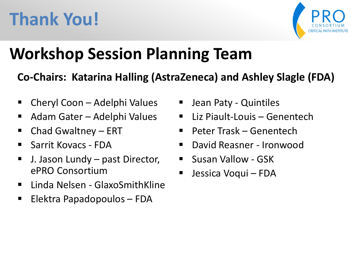# **Thank You!**



# **Workshop Session Planning Team**

#### **Co-Chairs: Katarina Halling (AstraZeneca) and Ashley Slagle (FDA)**

- Cheryl Coon Adelphi Values
- Adam Gater Adelphi Values
- Chad Gwaltney ERT
- **Sarrit Kovacs FDA**
- J. Jason Lundy past Director, ePRO Consortium
- **E** Linda Nelsen GlaxoSmithKline
- Elektra Papadopoulos FDA
- Jean Paty Quintiles
- Liz Piault-Louis Genentech
- Peter Trask Genentech
- David Reasner Ironwood
- **Susan Vallow GSK**
- Jessica Voqui FDA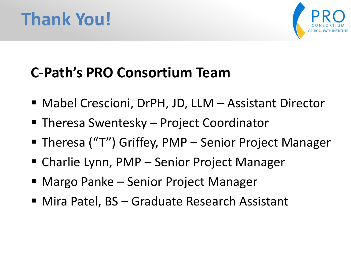# **Thank You!**



## **C-Path's PRO Consortium Team**

- Mabel Crescioni, DrPH, JD, LLM Assistant Director
- Theresa Swentesky Project Coordinator
- Theresa ("T") Griffey, PMP Senior Project Manager
- Charlie Lynn, PMP Senior Project Manager
- Margo Panke Senior Project Manager
- Mira Patel, BS Graduate Research Assistant